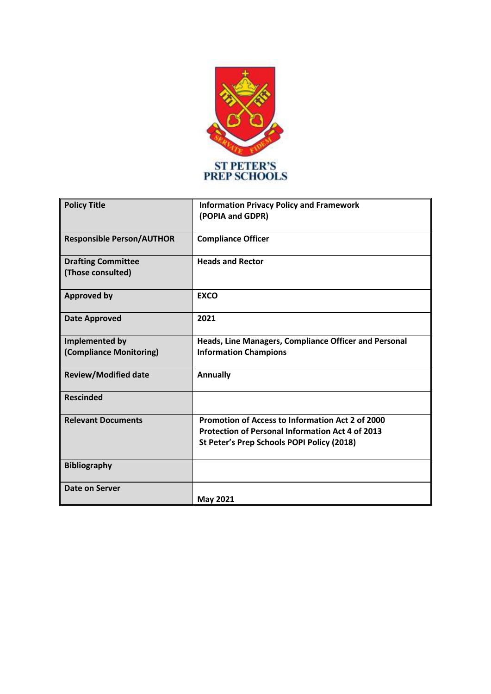

| <b>Policy Title</b>                            | <b>Information Privacy Policy and Framework</b><br>(POPIA and GDPR) |
|------------------------------------------------|---------------------------------------------------------------------|
| <b>Responsible Person/AUTHOR</b>               | <b>Compliance Officer</b>                                           |
| <b>Drafting Committee</b><br>(Those consulted) | <b>Heads and Rector</b>                                             |
| <b>Approved by</b>                             | <b>EXCO</b>                                                         |
| <b>Date Approved</b>                           | 2021                                                                |
| Implemented by                                 | Heads, Line Managers, Compliance Officer and Personal               |
| (Compliance Monitoring)                        | <b>Information Champions</b>                                        |
| <b>Review/Modified date</b>                    | <b>Annually</b>                                                     |
| <b>Rescinded</b>                               |                                                                     |
| <b>Relevant Documents</b>                      | <b>Promotion of Access to Information Act 2 of 2000</b>             |
|                                                | <b>Protection of Personal Information Act 4 of 2013</b>             |
|                                                | St Peter's Prep Schools POPI Policy (2018)                          |
| <b>Bibliography</b>                            |                                                                     |
| Date on Server                                 |                                                                     |
|                                                | <b>May 2021</b>                                                     |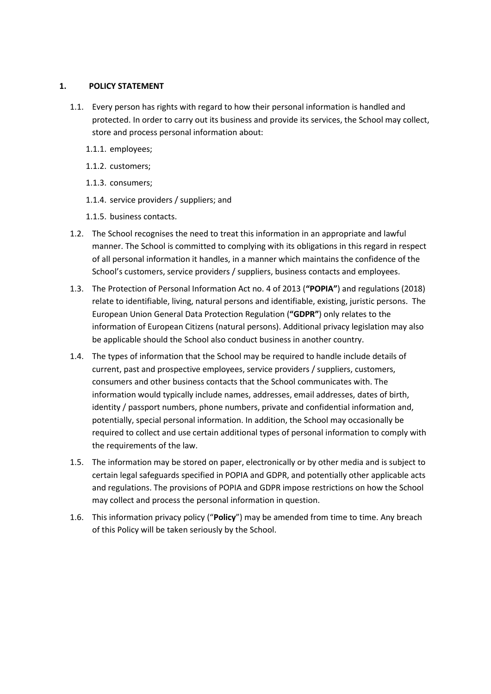## **1. POLICY STATEMENT**

- 1.1. Every person has rights with regard to how their personal information is handled and protected. In order to carry out its business and provide its services, the School may collect, store and process personal information about:
	- 1.1.1. employees;
	- 1.1.2. customers;
	- 1.1.3. consumers;
	- 1.1.4. service providers / suppliers; and
	- 1.1.5. business contacts.
- 1.2. The School recognises the need to treat this information in an appropriate and lawful manner. The School is committed to complying with its obligations in this regard in respect of all personal information it handles, in a manner which maintains the confidence of the School's customers, service providers / suppliers, business contacts and employees.
- 1.3. The Protection of Personal Information Act no. 4 of 2013 (**"POPIA"**) and regulations (2018) relate to identifiable, living, natural persons and identifiable, existing, juristic persons. The European Union General Data Protection Regulation (**"GDPR"**) only relates to the information of European Citizens (natural persons). Additional privacy legislation may also be applicable should the School also conduct business in another country.
- 1.4. The types of information that the School may be required to handle include details of current, past and prospective employees, service providers / suppliers, customers, consumers and other business contacts that the School communicates with. The information would typically include names, addresses, email addresses, dates of birth, identity / passport numbers, phone numbers, private and confidential information and, potentially, special personal information. In addition, the School may occasionally be required to collect and use certain additional types of personal information to comply with the requirements of the law.
- 1.5. The information may be stored on paper, electronically or by other media and is subject to certain legal safeguards specified in POPIA and GDPR, and potentially other applicable acts and regulations. The provisions of POPIA and GDPR impose restrictions on how the School may collect and process the personal information in question.
- 1.6. This information privacy policy ("**Policy**") may be amended from time to time. Any breach of this Policy will be taken seriously by the School.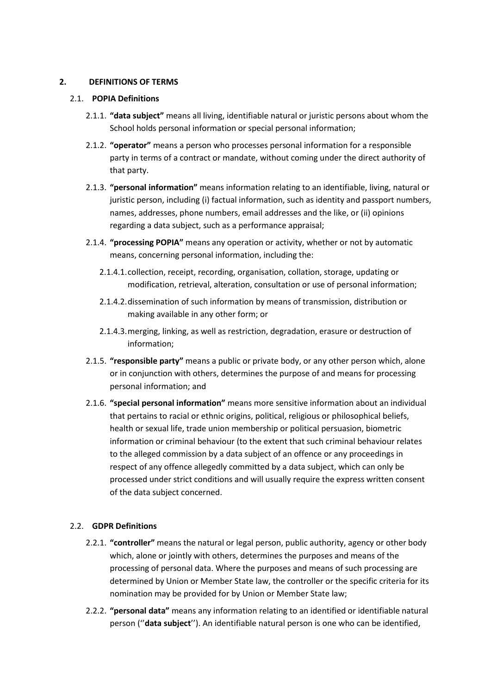## **2. DEFINITIONS OF TERMS**

## 2.1. **POPIA Definitions**

- 2.1.1. **"data subject"** means all living, identifiable natural or juristic persons about whom the School holds personal information or special personal information;
- 2.1.2. **"operator"** means a person who processes personal information for a responsible party in terms of a contract or mandate, without coming under the direct authority of that party.
- 2.1.3. **"personal information"** means information relating to an identifiable, living, natural or juristic person, including (i) factual information, such as identity and passport numbers, names, addresses, phone numbers, email addresses and the like, or (ii) opinions regarding a data subject, such as a performance appraisal;
- 2.1.4. **"processing POPIA"** means any operation or activity, whether or not by automatic means, concerning personal information, including the:
	- 2.1.4.1.collection, receipt, recording, organisation, collation, storage, updating or modification, retrieval, alteration, consultation or use of personal information;
	- 2.1.4.2.dissemination of such information by means of transmission, distribution or making available in any other form; or
	- 2.1.4.3.merging, linking, as well as restriction, degradation, erasure or destruction of information;
- 2.1.5. **"responsible party"** means a public or private body, or any other person which, alone or in conjunction with others, determines the purpose of and means for processing personal information; and
- 2.1.6. **"special personal information"** means more sensitive information about an individual that pertains to racial or ethnic origins, political, religious or philosophical beliefs, health or sexual life, trade union membership or political persuasion, biometric information or criminal behaviour (to the extent that such criminal behaviour relates to the alleged commission by a data subject of an offence or any proceedings in respect of any offence allegedly committed by a data subject, which can only be processed under strict conditions and will usually require the express written consent of the data subject concerned.

# 2.2. **GDPR Definitions**

- 2.2.1. **"controller"** means the natural or legal person, public authority, agency or other body which, alone or jointly with others, determines the purposes and means of the processing of personal data. Where the purposes and means of such processing are determined by Union or Member State law, the controller or the specific criteria for its nomination may be provided for by Union or Member State law;
- 2.2.2. **"personal data"** means any information relating to an identified or identifiable natural person (''**data subject**''). An identifiable natural person is one who can be identified,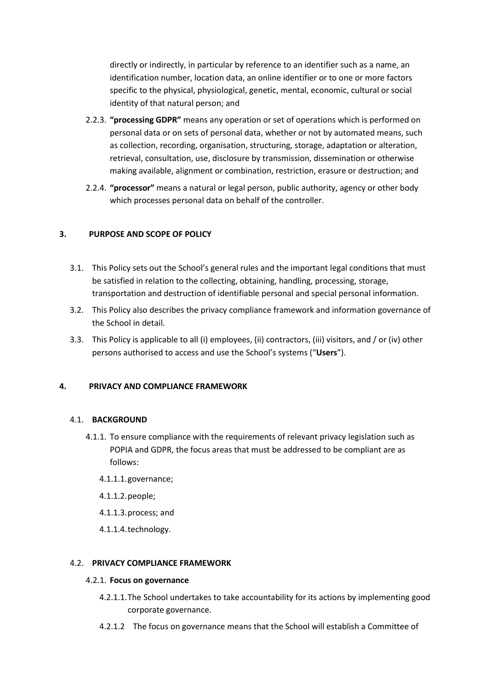directly or indirectly, in particular by reference to an identifier such as a name, an identification number, location data, an online identifier or to one or more factors specific to the physical, physiological, genetic, mental, economic, cultural or social identity of that natural person; and

- 2.2.3. **"processing GDPR"** means any operation or set of operations which is performed on personal data or on sets of personal data, whether or not by automated means, such as collection, recording, organisation, structuring, storage, adaptation or alteration, retrieval, consultation, use, disclosure by transmission, dissemination or otherwise making available, alignment or combination, restriction, erasure or destruction; and
- 2.2.4. **"processor"** means a natural or legal person, public authority, agency or other body which processes personal data on behalf of the controller.

# **3. PURPOSE AND SCOPE OF POLICY**

- 3.1. This Policy sets out the School's general rules and the important legal conditions that must be satisfied in relation to the collecting, obtaining, handling, processing, storage, transportation and destruction of identifiable personal and special personal information.
- 3.2. This Policy also describes the privacy compliance framework and information governance of the School in detail.
- 3.3. This Policy is applicable to all (i) employees, (ii) contractors, (iii) visitors, and / or (iv) other persons authorised to access and use the School's systems ("**Users**").

## **4. PRIVACY AND COMPLIANCE FRAMEWORK**

## 4.1. **BACKGROUND**

- 4.1.1. To ensure compliance with the requirements of relevant privacy legislation such as POPIA and GDPR, the focus areas that must be addressed to be compliant are as follows:
	- 4.1.1.1.governance;
	- 4.1.1.2.people;
	- 4.1.1.3.process; and
	- 4.1.1.4.technology.

## 4.2. **PRIVACY COMPLIANCE FRAMEWORK**

## 4.2.1. **Focus on governance**

- 4.2.1.1.The School undertakes to take accountability for its actions by implementing good corporate governance.
- 4.2.1.2 The focus on governance means that the School will establish a Committee of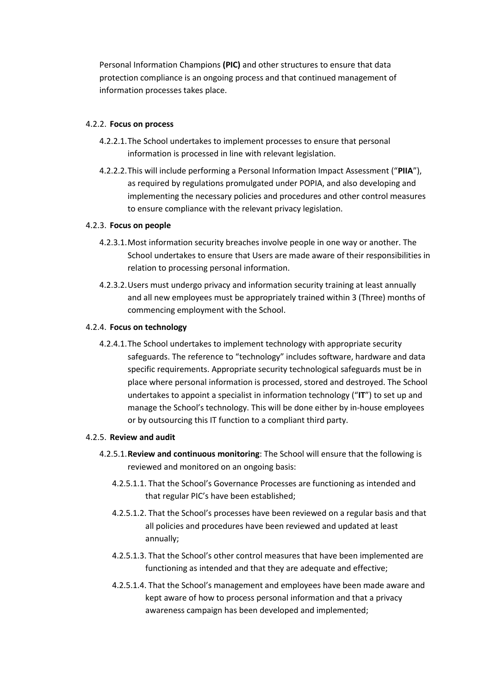Personal Information Champions **(PIC)** and other structures to ensure that data protection compliance is an ongoing process and that continued management of information processes takes place.

## 4.2.2. **Focus on process**

- 4.2.2.1.The School undertakes to implement processes to ensure that personal information is processed in line with relevant legislation.
- 4.2.2.2.This will include performing a Personal Information Impact Assessment ("**PIIA**"), as required by regulations promulgated under POPIA, and also developing and implementing the necessary policies and procedures and other control measures to ensure compliance with the relevant privacy legislation.

# 4.2.3. **Focus on people**

- 4.2.3.1.Most information security breaches involve people in one way or another. The School undertakes to ensure that Users are made aware of their responsibilities in relation to processing personal information.
- 4.2.3.2.Users must undergo privacy and information security training at least annually and all new employees must be appropriately trained within 3 (Three) months of commencing employment with the School.

# 4.2.4. **Focus on technology**

4.2.4.1.The School undertakes to implement technology with appropriate security safeguards. The reference to "technology" includes software, hardware and data specific requirements. Appropriate security technological safeguards must be in place where personal information is processed, stored and destroyed. The School undertakes to appoint a specialist in information technology ("**IT**") to set up and manage the School's technology. This will be done either by in-house employees or by outsourcing this IT function to a compliant third party.

## 4.2.5. **Review and audit**

- 4.2.5.1.**Review and continuous monitoring**: The School will ensure that the following is reviewed and monitored on an ongoing basis:
	- 4.2.5.1.1. That the School's Governance Processes are functioning as intended and that regular PIC's have been established;
	- 4.2.5.1.2. That the School's processes have been reviewed on a regular basis and that all policies and procedures have been reviewed and updated at least annually;
	- 4.2.5.1.3. That the School's other control measures that have been implemented are functioning as intended and that they are adequate and effective;
	- 4.2.5.1.4. That the School's management and employees have been made aware and kept aware of how to process personal information and that a privacy awareness campaign has been developed and implemented;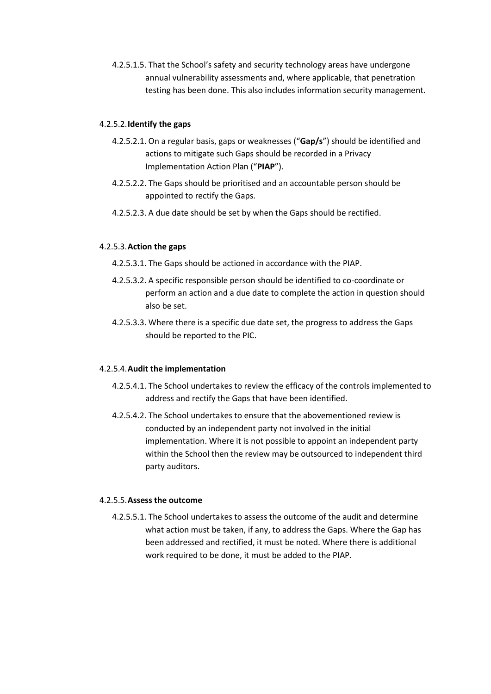4.2.5.1.5. That the School's safety and security technology areas have undergone annual vulnerability assessments and, where applicable, that penetration testing has been done. This also includes information security management.

#### 4.2.5.2.**Identify the gaps**

- 4.2.5.2.1. On a regular basis, gaps or weaknesses ("**Gap/s**") should be identified and actions to mitigate such Gaps should be recorded in a Privacy Implementation Action Plan ("**PIAP**").
- 4.2.5.2.2. The Gaps should be prioritised and an accountable person should be appointed to rectify the Gaps.
- 4.2.5.2.3. A due date should be set by when the Gaps should be rectified.

#### 4.2.5.3.**Action the gaps**

- 4.2.5.3.1. The Gaps should be actioned in accordance with the PIAP.
- 4.2.5.3.2. A specific responsible person should be identified to co-coordinate or perform an action and a due date to complete the action in question should also be set.
- 4.2.5.3.3. Where there is a specific due date set, the progress to address the Gaps should be reported to the PIC.

#### 4.2.5.4.**Audit the implementation**

- 4.2.5.4.1. The School undertakes to review the efficacy of the controls implemented to address and rectify the Gaps that have been identified.
- 4.2.5.4.2. The School undertakes to ensure that the abovementioned review is conducted by an independent party not involved in the initial implementation. Where it is not possible to appoint an independent party within the School then the review may be outsourced to independent third party auditors.

# 4.2.5.5.**Assess the outcome**

4.2.5.5.1. The School undertakes to assess the outcome of the audit and determine what action must be taken, if any, to address the Gaps. Where the Gap has been addressed and rectified, it must be noted. Where there is additional work required to be done, it must be added to the PIAP.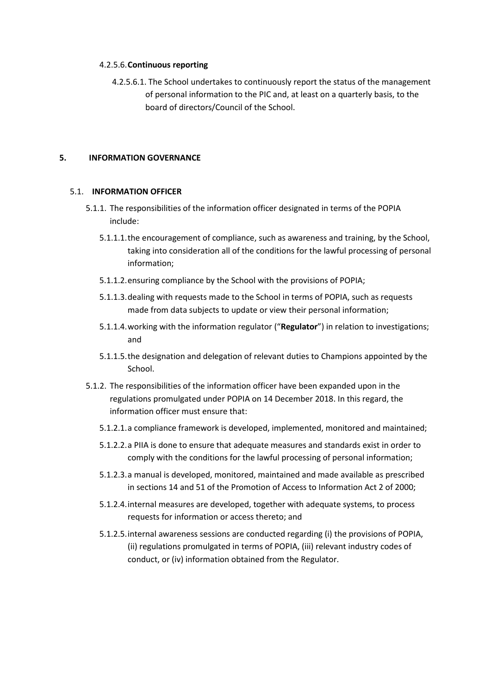#### 4.2.5.6.**Continuous reporting**

4.2.5.6.1. The School undertakes to continuously report the status of the management of personal information to the PIC and, at least on a quarterly basis, to the board of directors/Council of the School.

## **5. INFORMATION GOVERNANCE**

#### 5.1. **INFORMATION OFFICER**

- 5.1.1. The responsibilities of the information officer designated in terms of the POPIA include:
	- 5.1.1.1.the encouragement of compliance, such as awareness and training, by the School, taking into consideration all of the conditions for the lawful processing of personal information;
	- 5.1.1.2.ensuring compliance by the School with the provisions of POPIA;
	- 5.1.1.3.dealing with requests made to the School in terms of POPIA, such as requests made from data subjects to update or view their personal information;
	- 5.1.1.4.working with the information regulator ("**Regulator**") in relation to investigations; and
	- 5.1.1.5.the designation and delegation of relevant duties to Champions appointed by the School.
- 5.1.2. The responsibilities of the information officer have been expanded upon in the regulations promulgated under POPIA on 14 December 2018. In this regard, the information officer must ensure that:
	- 5.1.2.1.a compliance framework is developed, implemented, monitored and maintained;
	- 5.1.2.2.a PIIA is done to ensure that adequate measures and standards exist in order to comply with the conditions for the lawful processing of personal information;
	- 5.1.2.3.a manual is developed, monitored, maintained and made available as prescribed in sections 14 and 51 of the Promotion of Access to Information Act 2 of 2000;
	- 5.1.2.4.internal measures are developed, together with adequate systems, to process requests for information or access thereto; and
	- 5.1.2.5.internal awareness sessions are conducted regarding (i) the provisions of POPIA, (ii) regulations promulgated in terms of POPIA, (iii) relevant industry codes of conduct, or (iv) information obtained from the Regulator.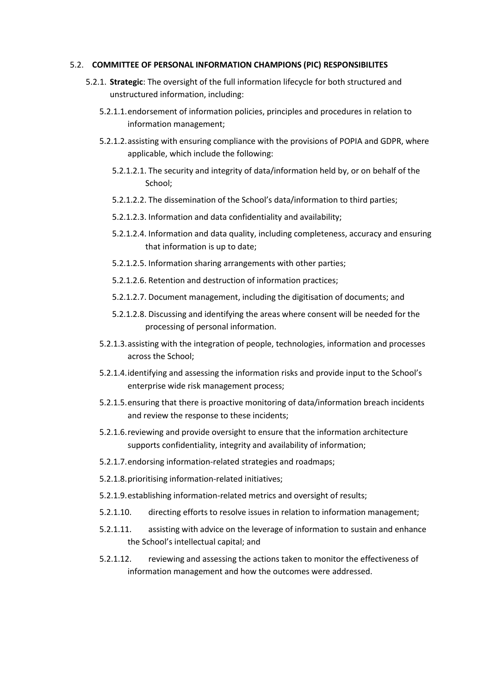#### 5.2. **COMMITTEE OF PERSONAL INFORMATION CHAMPIONS (PIC) RESPONSIBILITES**

- 5.2.1. **Strategic**: The oversight of the full information lifecycle for both structured and unstructured information, including:
	- 5.2.1.1.endorsement of information policies, principles and procedures in relation to information management;
	- 5.2.1.2.assisting with ensuring compliance with the provisions of POPIA and GDPR, where applicable, which include the following:
		- 5.2.1.2.1. The security and integrity of data/information held by, or on behalf of the School;
		- 5.2.1.2.2. The dissemination of the School's data/information to third parties;
		- 5.2.1.2.3. Information and data confidentiality and availability;
		- 5.2.1.2.4. Information and data quality, including completeness, accuracy and ensuring that information is up to date;
		- 5.2.1.2.5. Information sharing arrangements with other parties;
		- 5.2.1.2.6. Retention and destruction of information practices;
		- 5.2.1.2.7. Document management, including the digitisation of documents; and
		- 5.2.1.2.8. Discussing and identifying the areas where consent will be needed for the processing of personal information.
	- 5.2.1.3.assisting with the integration of people, technologies, information and processes across the School;
	- 5.2.1.4.identifying and assessing the information risks and provide input to the School's enterprise wide risk management process;
	- 5.2.1.5.ensuring that there is proactive monitoring of data/information breach incidents and review the response to these incidents;
	- 5.2.1.6.reviewing and provide oversight to ensure that the information architecture supports confidentiality, integrity and availability of information;
	- 5.2.1.7.endorsing information-related strategies and roadmaps;
	- 5.2.1.8.prioritising information-related initiatives;
	- 5.2.1.9.establishing information-related metrics and oversight of results;
	- 5.2.1.10. directing efforts to resolve issues in relation to information management;
	- 5.2.1.11. assisting with advice on the leverage of information to sustain and enhance the School's intellectual capital; and
	- 5.2.1.12. reviewing and assessing the actions taken to monitor the effectiveness of information management and how the outcomes were addressed.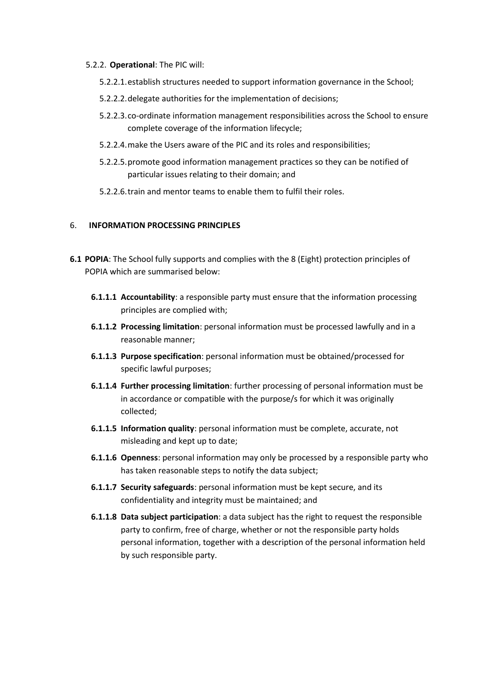#### 5.2.2. **Operational**: The PIC will:

- 5.2.2.1.establish structures needed to support information governance in the School;
- 5.2.2.2.delegate authorities for the implementation of decisions;
- 5.2.2.3.co-ordinate information management responsibilities across the School to ensure complete coverage of the information lifecycle;
- 5.2.2.4.make the Users aware of the PIC and its roles and responsibilities;
- 5.2.2.5.promote good information management practices so they can be notified of particular issues relating to their domain; and
- 5.2.2.6.train and mentor teams to enable them to fulfil their roles.

# 6. **INFORMATION PROCESSING PRINCIPLES**

- **6.1 POPIA**: The School fully supports and complies with the 8 (Eight) protection principles of POPIA which are summarised below:
	- **6.1.1.1 Accountability**: a responsible party must ensure that the information processing principles are complied with;
	- **6.1.1.2 Processing limitation**: personal information must be processed lawfully and in a reasonable manner;
	- **6.1.1.3 Purpose specification**: personal information must be obtained/processed for specific lawful purposes;
	- **6.1.1.4 Further processing limitation**: further processing of personal information must be in accordance or compatible with the purpose/s for which it was originally collected;
	- **6.1.1.5 Information quality**: personal information must be complete, accurate, not misleading and kept up to date;
	- **6.1.1.6 Openness**: personal information may only be processed by a responsible party who has taken reasonable steps to notify the data subject;
	- **6.1.1.7 Security safeguards**: personal information must be kept secure, and its confidentiality and integrity must be maintained; and
	- **6.1.1.8 Data subject participation**: a data subject has the right to request the responsible party to confirm, free of charge, whether or not the responsible party holds personal information, together with a description of the personal information held by such responsible party.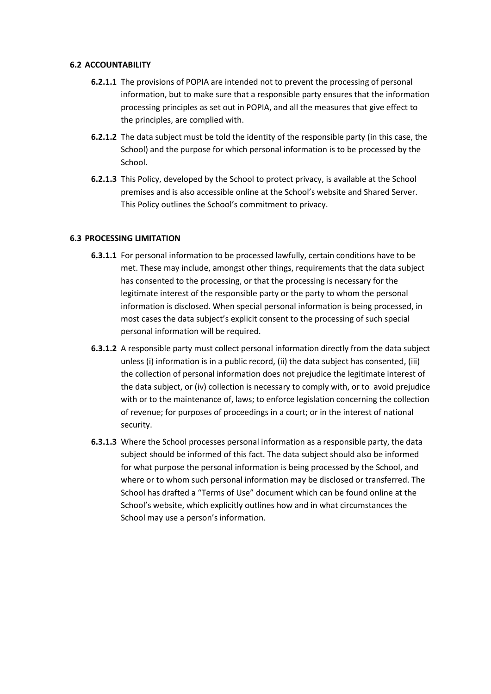#### **6.2 ACCOUNTABILITY**

- **6.2.1.1** The provisions of POPIA are intended not to prevent the processing of personal information, but to make sure that a responsible party ensures that the information processing principles as set out in POPIA, and all the measures that give effect to the principles, are complied with.
- **6.2.1.2** The data subject must be told the identity of the responsible party (in this case, the School) and the purpose for which personal information is to be processed by the School.
- **6.2.1.3** This Policy, developed by the School to protect privacy, is available at the School premises and is also accessible online at the School's website and Shared Server. This Policy outlines the School's commitment to privacy.

## **6.3 PROCESSING LIMITATION**

- **6.3.1.1** For personal information to be processed lawfully, certain conditions have to be met. These may include, amongst other things, requirements that the data subject has consented to the processing, or that the processing is necessary for the legitimate interest of the responsible party or the party to whom the personal information is disclosed. When special personal information is being processed, in most cases the data subject's explicit consent to the processing of such special personal information will be required.
- **6.3.1.2** A responsible party must collect personal information directly from the data subject unless (i) information is in a public record, (ii) the data subject has consented, (iii) the collection of personal information does not prejudice the legitimate interest of the data subject, or (iv) collection is necessary to comply with, or to avoid prejudice with or to the maintenance of, laws; to enforce legislation concerning the collection of revenue; for purposes of proceedings in a court; or in the interest of national security.
- **6.3.1.3** Where the School processes personal information as a responsible party, the data subject should be informed of this fact. The data subject should also be informed for what purpose the personal information is being processed by the School, and where or to whom such personal information may be disclosed or transferred. The School has drafted a "Terms of Use" document which can be found online at the School's website, which explicitly outlines how and in what circumstances the School may use a person's information.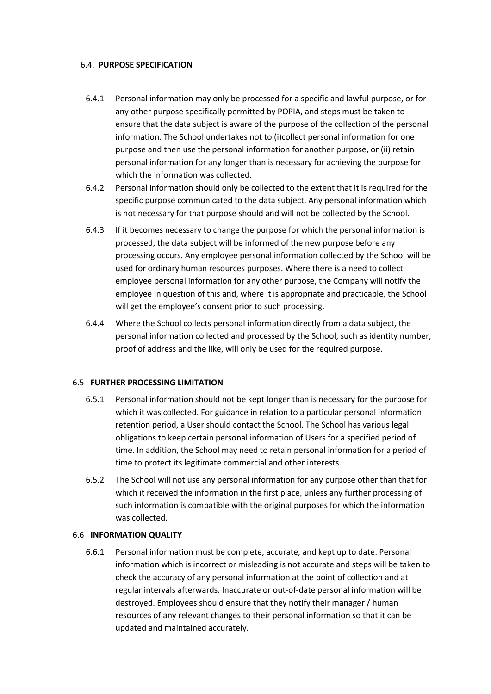#### 6.4. **PURPOSE SPECIFICATION**

- 6.4.1 Personal information may only be processed for a specific and lawful purpose, or for any other purpose specifically permitted by POPIA, and steps must be taken to ensure that the data subject is aware of the purpose of the collection of the personal information. The School undertakes not to (i)collect personal information for one purpose and then use the personal information for another purpose, or (ii) retain personal information for any longer than is necessary for achieving the purpose for which the information was collected.
- 6.4.2 Personal information should only be collected to the extent that it is required for the specific purpose communicated to the data subject. Any personal information which is not necessary for that purpose should and will not be collected by the School.
- 6.4.3 If it becomes necessary to change the purpose for which the personal information is processed, the data subject will be informed of the new purpose before any processing occurs. Any employee personal information collected by the School will be used for ordinary human resources purposes. Where there is a need to collect employee personal information for any other purpose, the Company will notify the employee in question of this and, where it is appropriate and practicable, the School will get the employee's consent prior to such processing.
- 6.4.4 Where the School collects personal information directly from a data subject, the personal information collected and processed by the School, such as identity number, proof of address and the like, will only be used for the required purpose.

## 6.5 **FURTHER PROCESSING LIMITATION**

- 6.5.1 Personal information should not be kept longer than is necessary for the purpose for which it was collected. For guidance in relation to a particular personal information retention period, a User should contact the School. The School has various legal obligations to keep certain personal information of Users for a specified period of time. In addition, the School may need to retain personal information for a period of time to protect its legitimate commercial and other interests.
- 6.5.2 The School will not use any personal information for any purpose other than that for which it received the information in the first place, unless any further processing of such information is compatible with the original purposes for which the information was collected.

## 6.6 **INFORMATION QUALITY**

6.6.1 Personal information must be complete, accurate, and kept up to date. Personal information which is incorrect or misleading is not accurate and steps will be taken to check the accuracy of any personal information at the point of collection and at regular intervals afterwards. Inaccurate or out-of-date personal information will be destroyed. Employees should ensure that they notify their manager / human resources of any relevant changes to their personal information so that it can be updated and maintained accurately.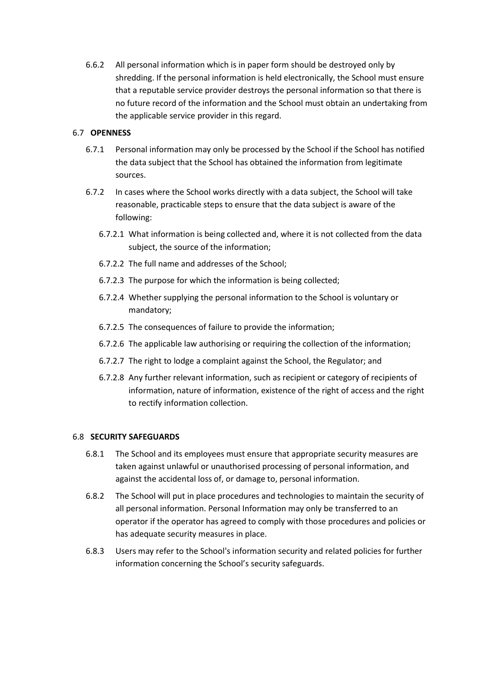6.6.2 All personal information which is in paper form should be destroyed only by shredding. If the personal information is held electronically, the School must ensure that a reputable service provider destroys the personal information so that there is no future record of the information and the School must obtain an undertaking from the applicable service provider in this regard.

# 6.7 **OPENNESS**

- 6.7.1 Personal information may only be processed by the School if the School has notified the data subject that the School has obtained the information from legitimate sources.
- 6.7.2 In cases where the School works directly with a data subject, the School will take reasonable, practicable steps to ensure that the data subject is aware of the following:
	- 6.7.2.1 What information is being collected and, where it is not collected from the data subject, the source of the information;
	- 6.7.2.2 The full name and addresses of the School;
	- 6.7.2.3 The purpose for which the information is being collected;
	- 6.7.2.4 Whether supplying the personal information to the School is voluntary or mandatory;
	- 6.7.2.5 The consequences of failure to provide the information;
	- 6.7.2.6 The applicable law authorising or requiring the collection of the information;
	- 6.7.2.7 The right to lodge a complaint against the School, the Regulator; and
	- 6.7.2.8 Any further relevant information, such as recipient or category of recipients of information, nature of information, existence of the right of access and the right to rectify information collection.

## 6.8 **SECURITY SAFEGUARDS**

- 6.8.1 The School and its employees must ensure that appropriate security measures are taken against unlawful or unauthorised processing of personal information, and against the accidental loss of, or damage to, personal information.
- 6.8.2 The School will put in place procedures and technologies to maintain the security of all personal information. Personal Information may only be transferred to an operator if the operator has agreed to comply with those procedures and policies or has adequate security measures in place.
- 6.8.3 Users may refer to the School's information security and related policies for further information concerning the School's security safeguards.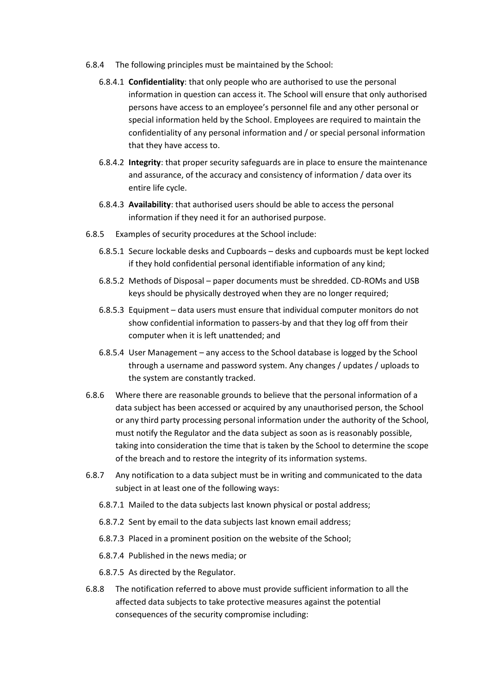- 6.8.4 The following principles must be maintained by the School:
	- 6.8.4.1 **Confidentiality**: that only people who are authorised to use the personal information in question can access it. The School will ensure that only authorised persons have access to an employee's personnel file and any other personal or special information held by the School. Employees are required to maintain the confidentiality of any personal information and / or special personal information that they have access to.
	- 6.8.4.2 **Integrity**: that proper security safeguards are in place to ensure the maintenance and assurance, of the accuracy and consistency of information / data over its entire life cycle.
	- 6.8.4.3 **Availability**: that authorised users should be able to access the personal information if they need it for an authorised purpose.
- 6.8.5 Examples of security procedures at the School include:
	- 6.8.5.1 Secure lockable desks and Cupboards desks and cupboards must be kept locked if they hold confidential personal identifiable information of any kind;
	- 6.8.5.2 Methods of Disposal paper documents must be shredded. CD-ROMs and USB keys should be physically destroyed when they are no longer required;
	- 6.8.5.3 Equipment data users must ensure that individual computer monitors do not show confidential information to passers-by and that they log off from their computer when it is left unattended; and
	- 6.8.5.4 User Management any access to the School database is logged by the School through a username and password system. Any changes / updates / uploads to the system are constantly tracked.
- 6.8.6 Where there are reasonable grounds to believe that the personal information of a data subject has been accessed or acquired by any unauthorised person, the School or any third party processing personal information under the authority of the School, must notify the Regulator and the data subject as soon as is reasonably possible, taking into consideration the time that is taken by the School to determine the scope of the breach and to restore the integrity of its information systems.
- 6.8.7 Any notification to a data subject must be in writing and communicated to the data subject in at least one of the following ways:
	- 6.8.7.1 Mailed to the data subjects last known physical or postal address;
	- 6.8.7.2 Sent by email to the data subjects last known email address;
	- 6.8.7.3 Placed in a prominent position on the website of the School;
	- 6.8.7.4 Published in the news media; or
	- 6.8.7.5 As directed by the Regulator.
- 6.8.8 The notification referred to above must provide sufficient information to all the affected data subjects to take protective measures against the potential consequences of the security compromise including: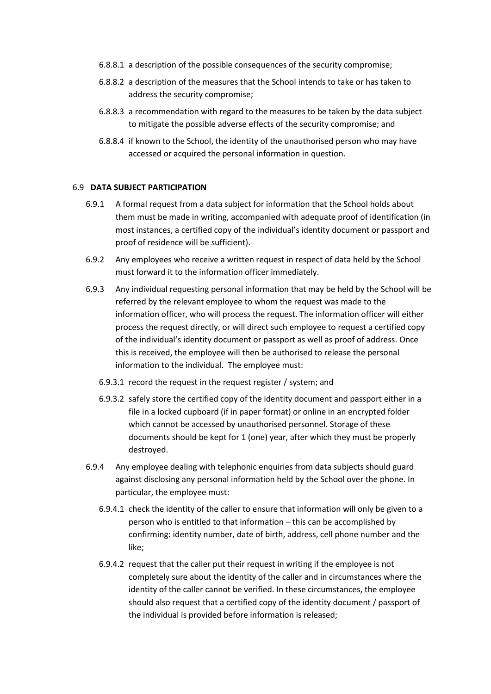- 6.8.8.1 a description of the possible consequences of the security compromise;
- 6.8.8.2 a description of the measures that the School intends to take or has taken to address the security compromise;
- 6.8.8.3 a recommendation with regard to the measures to be taken by the data subject to mitigate the possible adverse effects of the security compromise; and
- 6.8.8.4 if known to the School, the identity of the unauthorised person who may have accessed or acquired the personal information in question.

## 6.9 **DATA SUBJECT PARTICIPATION**

- 6.9.1 A formal request from a data subject for information that the School holds about them must be made in writing, accompanied with adequate proof of identification (in most instances, a certified copy of the individual's identity document or passport and proof of residence will be sufficient).
- 6.9.2 Any employees who receive a written request in respect of data held by the School must forward it to the information officer immediately.
- 6.9.3 Any individual requesting personal information that may be held by the School will be referred by the relevant employee to whom the request was made to the information officer, who will process the request. The information officer will either process the request directly, or will direct such employee to request a certified copy of the individual's identity document or passport as well as proof of address. Once this is received, the employee will then be authorised to release the personal information to the individual. The employee must:
	- 6.9.3.1 record the request in the request register / system; and
	- 6.9.3.2 safely store the certified copy of the identity document and passport either in a file in a locked cupboard (if in paper format) or online in an encrypted folder which cannot be accessed by unauthorised personnel. Storage of these documents should be kept for 1 (one) year, after which they must be properly destroyed.
- 6.9.4 Any employee dealing with telephonic enquiries from data subjects should guard against disclosing any personal information held by the School over the phone. In particular, the employee must:
	- 6.9.4.1 check the identity of the caller to ensure that information will only be given to a person who is entitled to that information – this can be accomplished by confirming: identity number, date of birth, address, cell phone number and the like;
	- 6.9.4.2 request that the caller put their request in writing if the employee is not completely sure about the identity of the caller and in circumstances where the identity of the caller cannot be verified. In these circumstances, the employee should also request that a certified copy of the identity document / passport of the individual is provided before information is released;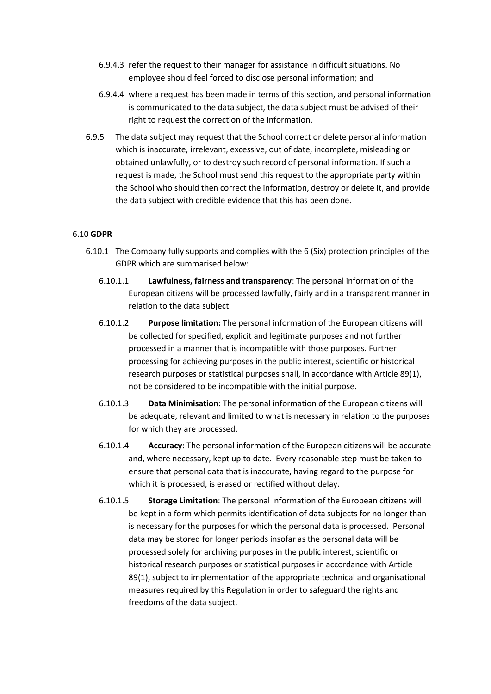- 6.9.4.3 refer the request to their manager for assistance in difficult situations. No employee should feel forced to disclose personal information; and
- 6.9.4.4 where a request has been made in terms of this section, and personal information is communicated to the data subject, the data subject must be advised of their right to request the correction of the information.
- 6.9.5 The data subject may request that the School correct or delete personal information which is inaccurate, irrelevant, excessive, out of date, incomplete, misleading or obtained unlawfully, or to destroy such record of personal information. If such a request is made, the School must send this request to the appropriate party within the School who should then correct the information, destroy or delete it, and provide the data subject with credible evidence that this has been done.

# 6.10 **GDPR**

- 6.10.1 The Company fully supports and complies with the 6 (Six) protection principles of the GDPR which are summarised below:
	- 6.10.1.1 **Lawfulness, fairness and transparency**: The personal information of the European citizens will be processed lawfully, fairly and in a transparent manner in relation to the data subject.
	- 6.10.1.2 **Purpose limitation:** The personal information of the European citizens will be collected for specified, explicit and legitimate purposes and not further processed in a manner that is incompatible with those purposes. Further processing for achieving purposes in the public interest, scientific or historical research purposes or statistical purposes shall, in accordance with Article 89(1), not be considered to be incompatible with the initial purpose.
	- 6.10.1.3 **Data Minimisation**: The personal information of the European citizens will be adequate, relevant and limited to what is necessary in relation to the purposes for which they are processed.
	- 6.10.1.4 **Accuracy**: The personal information of the European citizens will be accurate and, where necessary, kept up to date. Every reasonable step must be taken to ensure that personal data that is inaccurate, having regard to the purpose for which it is processed, is erased or rectified without delay.
	- 6.10.1.5 **Storage Limitation**: The personal information of the European citizens will be kept in a form which permits identification of data subjects for no longer than is necessary for the purposes for which the personal data is processed. Personal data may be stored for longer periods insofar as the personal data will be processed solely for archiving purposes in the public interest, scientific or historical research purposes or statistical purposes in accordance with Article 89(1), subject to implementation of the appropriate technical and organisational measures required by this Regulation in order to safeguard the rights and freedoms of the data subject.